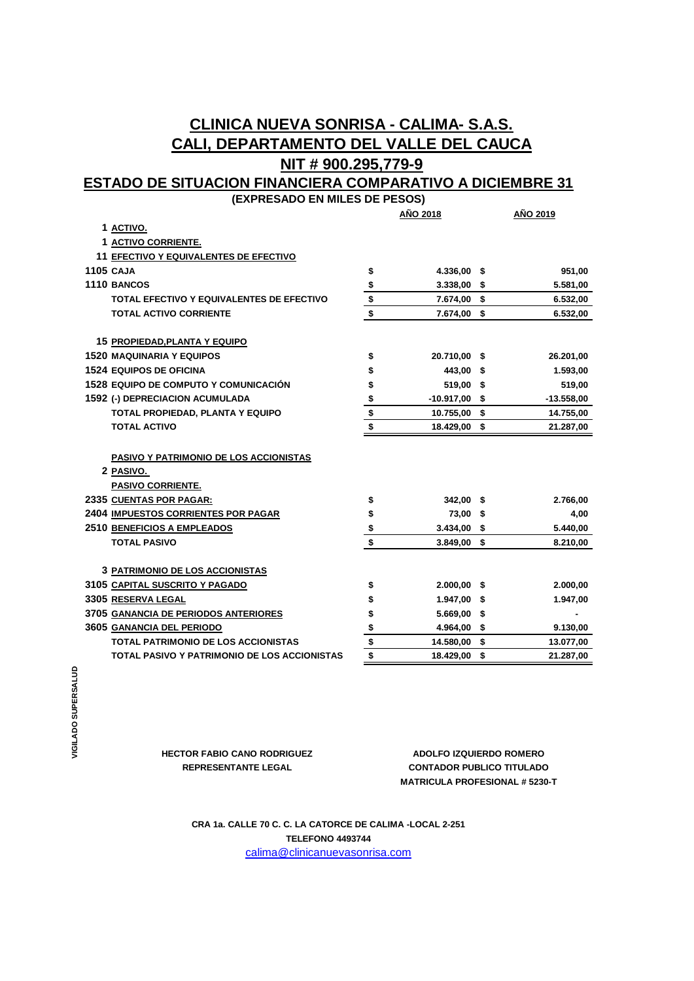## **CALI, DEPARTAMENTO DEL VALLE DEL CAUCA CLINICA NUEVA SONRISA - CALIMA- S.A.S. NIT # 900.295,779-9**

**ESTADO DE SITUACION FINANCIERA COMPARATIVO A DICIEMBRE 31**

**(EXPRESADO EN MILES DE PESOS)**

|                                                     |                         | <b>ANO 2018</b> |      | <b>ANO 2019</b> |
|-----------------------------------------------------|-------------------------|-----------------|------|-----------------|
| 1 ACTIVO.                                           |                         |                 |      |                 |
| 1 ACTIVO CORRIENTE.                                 |                         |                 |      |                 |
| 11 EFECTIVO Y EQUIVALENTES DE EFECTIVO              |                         |                 |      |                 |
| <b>1105 CAJA</b>                                    | \$                      | 4.336,00 \$     |      | 951,00          |
| <b>1110 BANCOS</b>                                  |                         | $3.338,00$ \$   |      | 5.581,00        |
| TOTAL EFECTIVO Y EQUIVALENTES DE EFECTIVO           | $\frac{1}{\sqrt{2}}$    | 7.674,00 \$     |      | 6.532,00        |
| <b>TOTAL ACTIVO CORRIENTE</b>                       |                         | 7.674,00        | - \$ | 6.532,00        |
| <b>15 PROPIEDAD, PLANTA Y EQUIPO</b>                |                         |                 |      |                 |
| <b>1520 MAQUINARIA Y EQUIPOS</b>                    | \$                      | 20.710,00 \$    |      | 26.201,00       |
| <b>1524 EQUIPOS DE OFICINA</b>                      | \$                      | 443,00 \$       |      | 1.593,00        |
| <b>1528 EQUIPO DE COMPUTO Y COMUNICACIÓN</b>        | \$                      | 519,00 \$       |      | 519,00          |
| 1592 (-) DEPRECIACION ACUMULADA                     |                         | $-10.917,00$ \$ |      | $-13.558,00$    |
| TOTAL PROPIEDAD, PLANTA Y EQUIPO                    | $\frac{1}{2}$           | 10.755,00 \$    |      | 14.755,00       |
| <b>TOTAL ACTIVO</b>                                 | \$                      | 18.429,00 \$    |      | 21.287,00       |
| PASIVO Y PATRIMONIO DE LOS ACCIONISTAS<br>2 PASIVO. |                         |                 |      |                 |
| <b>PASIVO CORRIENTE.</b>                            |                         |                 |      |                 |
| 2335 CUENTAS POR PAGAR:                             | \$                      | $342,00$ \$     |      | 2.766,00        |
| <b>2404 IMPUESTOS CORRIENTES POR PAGAR</b>          | \$                      | 73,00 \$        |      | 4,00            |
| <b>2510 BENEFICIOS A EMPLEADOS</b>                  | \$                      | $3.434,00$ \$   |      | 5.440,00        |
| <b>TOTAL PASIVO</b>                                 | \$                      | $3.849,00$ \$   |      | 8.210,00        |
| <b>3 PATRIMONIO DE LOS ACCIONISTAS</b>              |                         |                 |      |                 |
| 3105 CAPITAL SUSCRITO Y PAGADO                      | \$                      | $2.000,00$ \$   |      | 2.000,00        |
| 3305 RESERVA LEGAL                                  | \$                      | $1.947,00$ \$   |      | 1.947,00        |
| 3705 GANANCIA DE PERIODOS ANTERIORES                | \$                      | 5.669,00        | - \$ |                 |
| 3605 GANANCIA DEL PERIODO                           | \$                      | 4.964,00 \$     |      | 9.130,00        |
| <b>TOTAL PATRIMONIO DE LOS ACCIONISTAS</b>          | $\overline{\mathbf{S}}$ | 14.580,00       | \$   | 13.077,00       |
| TOTAL PASIVO Y PATRIMONIO DE LOS ACCIONISTAS        | \$                      | 18.429,00       | \$   | 21.287,00       |
|                                                     |                         |                 |      |                 |

**MATRICULA PROFESIONAL # 5230-T REPRESENTANTE LEGAL CONTADOR PUBLICO TITULADO HECTOR FABIO CANO RODRIGUEZ ADOLFO IZQUIERDO ROMERO**

[c](mailto:calima@clinicanuevasonrisa.com)alima@clinicanuevasonrisa.com **CRA 1a. CALLE 70 C. C. LA CATORCE DE CALIMA -LOCAL 2-251 TELEFONO 4493744**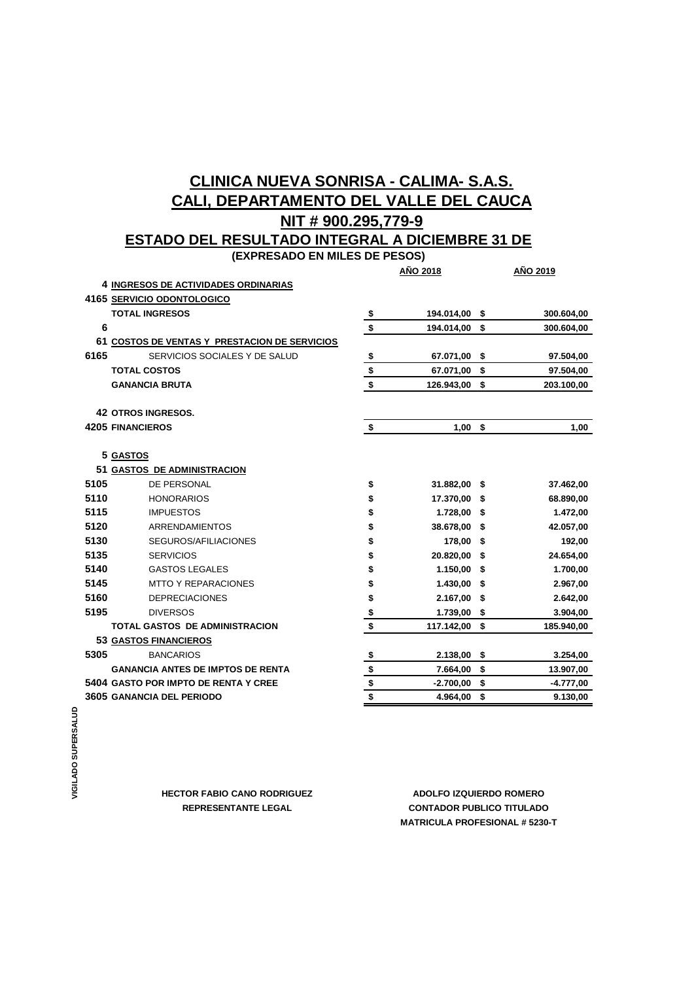## **CLINICA NUEVA SONRISA - CALIMA- S.A.S. NIT # 900.295,779-9 CALI, DEPARTAMENTO DEL VALLE DEL CAUCA**

## **ESTADO DEL RESULTADO INTEGRAL A DICIEMBRE 31 DE**

**(EXPRESADO EN MILES DE PESOS)**

|      |                                               |                                                                           | <b>AÑO 2018</b> |      | <u>AÑO 2019</u> |
|------|-----------------------------------------------|---------------------------------------------------------------------------|-----------------|------|-----------------|
|      | 4 INGRESOS DE ACTIVIDADES ORDINARIAS          |                                                                           |                 |      |                 |
|      | 4165 SERVICIO ODONTOLOGICO                    |                                                                           |                 |      |                 |
|      | <b>TOTAL INGRESOS</b>                         | \$                                                                        | 194.014,00 \$   |      | 300.604,00      |
| 6    |                                               | $\sqrt{2}$                                                                | 194.014,00      | \$   | 300.604,00      |
|      | 61 COSTOS DE VENTAS Y PRESTACION DE SERVICIOS |                                                                           |                 |      |                 |
| 6165 | SERVICIOS SOCIALES Y DE SALUD                 | $\frac{1}{2}$                                                             | 67.071,00       | \$   | 97.504,00       |
|      | <b>TOTAL COSTOS</b>                           | \$                                                                        | 67.071,00       | \$   | 97.504,00       |
|      | <b>GANANCIA BRUTA</b>                         | \$                                                                        | 126.943,00      | \$   | 203.100,00      |
|      | <b>42 OTROS INGRESOS.</b>                     |                                                                           |                 |      |                 |
|      | <b>4205 FINANCIEROS</b>                       | \$                                                                        | $1,00$ \$       |      |                 |
|      |                                               |                                                                           |                 |      | 1,00            |
|      | 5 GASTOS                                      |                                                                           |                 |      |                 |
|      | 51 GASTOS DE ADMINISTRACION                   |                                                                           |                 |      |                 |
| 5105 | DE PERSONAL                                   | \$                                                                        | 31.882,00 \$    |      | 37.462,00       |
| 5110 | <b>HONORARIOS</b>                             | \$                                                                        | 17.370,00       | - \$ | 68.890,00       |
| 5115 | <b>IMPUESTOS</b>                              | \$                                                                        | 1.728,00        | - \$ | 1.472,00        |
| 5120 | <b>ARRENDAMIENTOS</b>                         | \$                                                                        | 38.678,00       | S.   | 42.057,00       |
| 5130 | SEGUROS/AFILIACIONES                          | \$                                                                        | 178,00          | \$   | 192,00          |
| 5135 | <b>SERVICIOS</b>                              | \$                                                                        | 20.820,00       | S.   | 24.654,00       |
| 5140 | <b>GASTOS LEGALES</b>                         | \$                                                                        | 1.150,00        | - \$ | 1.700,00        |
| 5145 | <b>MTTO Y REPARACIONES</b>                    | \$                                                                        | 1.430,00        | \$   | 2.967,00        |
| 5160 | <b>DEPRECIACIONES</b>                         | \$                                                                        | 2.167,00        | \$   | 2.642,00        |
| 5195 | <b>DIVERSOS</b>                               | \$                                                                        | 1.739,00        | \$   | 3.904,00        |
|      | <b>TOTAL GASTOS DE ADMINISTRACION</b>         | \$                                                                        | 117.142,00      | \$   | 185.940,00      |
|      | <b>53 GASTOS FINANCIEROS</b>                  |                                                                           |                 |      |                 |
| 5305 | <b>BANCARIOS</b>                              | $\frac{1}{2}$                                                             | 2.138,00        | \$   | 3.254,00        |
|      | <b>GANANCIA ANTES DE IMPTOS DE RENTA</b>      |                                                                           | 7.664,00        | \$   | 13.907,00       |
|      | 5404 GASTO POR IMPTO DE RENTA Y CREE          | $\begin{array}{c c}\n\bullet & \bullet \\ \bullet & \bullet\n\end{array}$ | $-2.700,00$     | \$   | $-4.777,00$     |
|      | 3605 GANANCIA DEL PERIODO                     |                                                                           | 4.964,00        | \$   | 9.130,00        |

VIGILADO SUPERSALUD **VIGILADO SUPERSALUD**

**HECTOR FABIO CANO RODRIGUEZ**

**ADOLFO IZQUIERDO ROMERO REPRESENTANTE LEGAL CONTADOR PUBLICO TITULADO MATRICULA PROFESIONAL # 5230-T**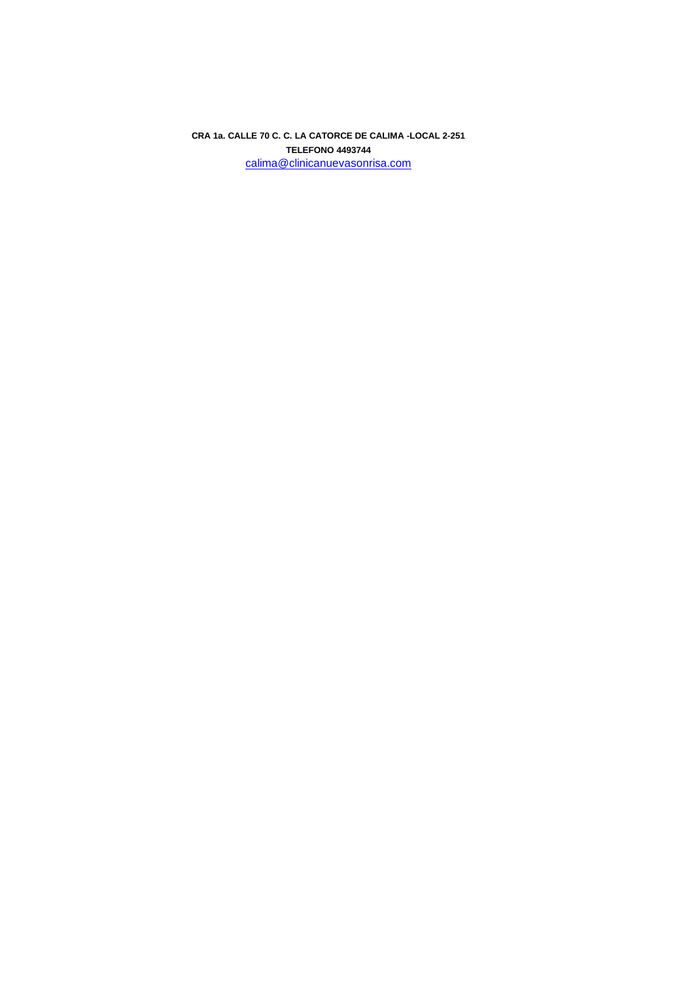**TELEFONO 4493744** [c](mailto:calima@clinicanuevasonrisa.com)alima@clinicanuevasonrisa.com **CRA 1a. CALLE 70 C. C. LA CATORCE DE CALIMA -LOCAL 2-251**